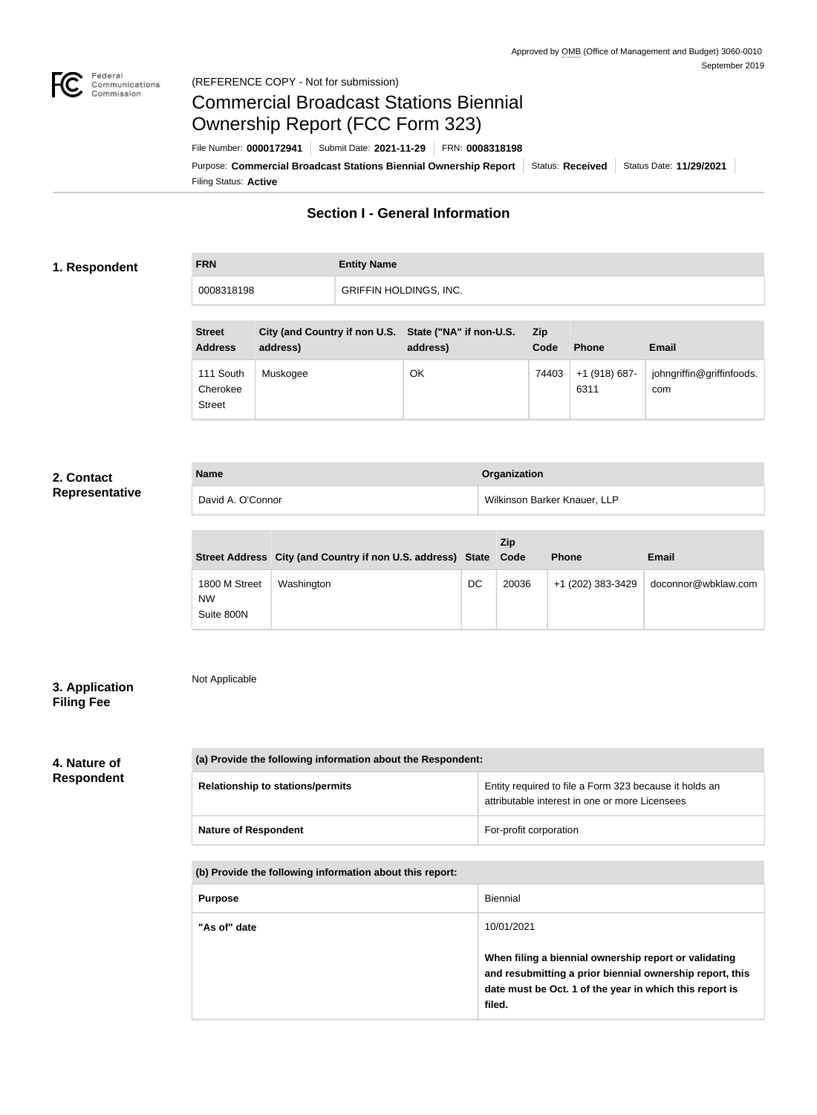

### Federal<br>Communications<br>Commission (REFERENCE COPY - Not for submission)

# Commercial Broadcast Stations Biennial Ownership Report (FCC Form 323)

Filing Status: **Active** Purpose: Commercial Broadcast Stations Biennial Ownership Report Status: Received | Status Date: 11/29/2021 File Number: **0000172941** Submit Date: **2021-11-29** FRN: **0008318198**

# **Section I - General Information**

### **1. Respondent**

**FRN Entity Name** 0008318198 **GRIFFIN HOLDINGS, INC.** 

| <b>Street</b><br><b>Address</b>        | City (and Country if non U.S. State ("NA" if non-U.S.<br>address) | address) | <b>Zip</b><br>Code | <b>Phone</b>          | <b>Email</b>                     |
|----------------------------------------|-------------------------------------------------------------------|----------|--------------------|-----------------------|----------------------------------|
| 111 South<br>Cherokee<br><b>Street</b> | Muskogee                                                          | OK       | 74403              | +1 (918) 687-<br>6311 | johngriffin@griffinfoods.<br>com |

### **2. Contact Representative**

| <b>Name</b>       | Organization                 |
|-------------------|------------------------------|
| David A. O'Connor | Wilkinson Barker Knauer, LLP |

|                                          | Street Address City (and Country if non U.S. address) State Code |    | Zip   | <b>Phone</b>      | Email               |
|------------------------------------------|------------------------------------------------------------------|----|-------|-------------------|---------------------|
| 1800 M Street<br><b>NW</b><br>Suite 800N | Washington                                                       | DC | 20036 | +1 (202) 383-3429 | doconnor@wbklaw.com |

### **3. Application Filing Fee**

Not Applicable

# **4. Nature of**

# **Respondent**

| (a) Provide the following information about the Respondent: |                                                                                                          |  |  |
|-------------------------------------------------------------|----------------------------------------------------------------------------------------------------------|--|--|
| <b>Relationship to stations/permits</b>                     | Entity required to file a Form 323 because it holds an<br>attributable interest in one or more Licensees |  |  |
| <b>Nature of Respondent</b>                                 | For-profit corporation                                                                                   |  |  |

**(b) Provide the following information about this report:**

| <b>Purpose</b> | Biennial                                                                                                                                                                               |
|----------------|----------------------------------------------------------------------------------------------------------------------------------------------------------------------------------------|
| "As of" date   | 10/01/2021                                                                                                                                                                             |
|                | When filing a biennial ownership report or validating<br>and resubmitting a prior biennial ownership report, this<br>date must be Oct. 1 of the year in which this report is<br>filed. |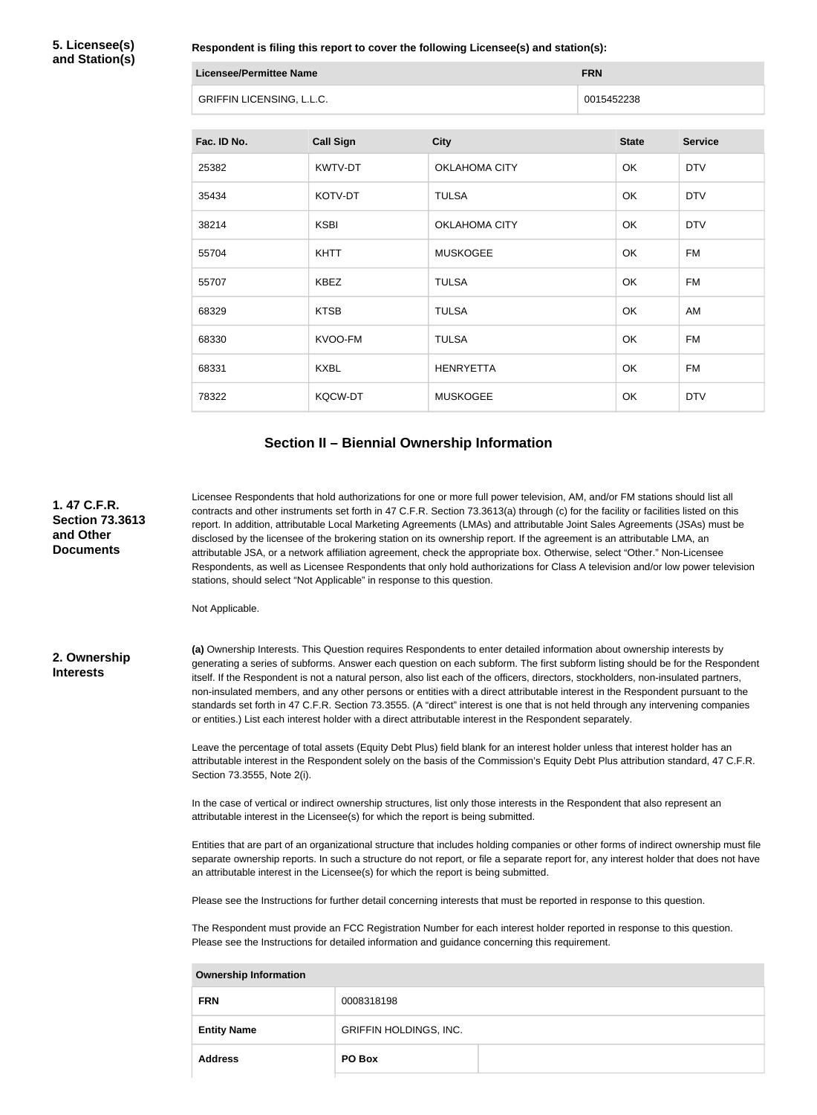**5. Licensee(s) and Station(s)**

**Respondent is filing this report to cover the following Licensee(s) and station(s):**

| Licensee/Permittee Name          | <b>FRN</b> |
|----------------------------------|------------|
| <b>GRIFFIN LICENSING, L.L.C.</b> | 0015452238 |

| Fac. ID No. | <b>Call Sign</b> | <b>City</b>          | <b>State</b> | <b>Service</b> |
|-------------|------------------|----------------------|--------------|----------------|
| 25382       | KWTV-DT          | OKLAHOMA CITY        | OK           | <b>DTV</b>     |
| 35434       | KOTV-DT          | <b>TULSA</b>         | <b>OK</b>    | <b>DTV</b>     |
| 38214       | <b>KSBI</b>      | <b>OKLAHOMA CITY</b> | OK           | <b>DTV</b>     |
| 55704       | <b>KHTT</b>      | <b>MUSKOGEE</b>      | OK           | <b>FM</b>      |
| 55707       | <b>KBEZ</b>      | <b>TULSA</b>         | OK           | <b>FM</b>      |
| 68329       | <b>KTSB</b>      | <b>TULSA</b>         | OK           | AM             |
| 68330       | KVOO-FM          | <b>TULSA</b>         | OK           | <b>FM</b>      |
| 68331       | <b>KXBL</b>      | <b>HENRYETTA</b>     | OK           | <b>FM</b>      |
| 78322       | <b>KQCW-DT</b>   | <b>MUSKOGEE</b>      | OK           | <b>DTV</b>     |

### **Section II – Biennial Ownership Information**

**1. 47 C.F.R. Section 73.3613 and Other Documents**

Licensee Respondents that hold authorizations for one or more full power television, AM, and/or FM stations should list all contracts and other instruments set forth in 47 C.F.R. Section 73.3613(a) through (c) for the facility or facilities listed on this report. In addition, attributable Local Marketing Agreements (LMAs) and attributable Joint Sales Agreements (JSAs) must be disclosed by the licensee of the brokering station on its ownership report. If the agreement is an attributable LMA, an attributable JSA, or a network affiliation agreement, check the appropriate box. Otherwise, select "Other." Non-Licensee Respondents, as well as Licensee Respondents that only hold authorizations for Class A television and/or low power television stations, should select "Not Applicable" in response to this question.

Not Applicable.

### **2. Ownership Interests**

**(a)** Ownership Interests. This Question requires Respondents to enter detailed information about ownership interests by generating a series of subforms. Answer each question on each subform. The first subform listing should be for the Respondent itself. If the Respondent is not a natural person, also list each of the officers, directors, stockholders, non-insulated partners, non-insulated members, and any other persons or entities with a direct attributable interest in the Respondent pursuant to the standards set forth in 47 C.F.R. Section 73.3555. (A "direct" interest is one that is not held through any intervening companies or entities.) List each interest holder with a direct attributable interest in the Respondent separately.

Leave the percentage of total assets (Equity Debt Plus) field blank for an interest holder unless that interest holder has an attributable interest in the Respondent solely on the basis of the Commission's Equity Debt Plus attribution standard, 47 C.F.R. Section 73.3555, Note 2(i).

In the case of vertical or indirect ownership structures, list only those interests in the Respondent that also represent an attributable interest in the Licensee(s) for which the report is being submitted.

Entities that are part of an organizational structure that includes holding companies or other forms of indirect ownership must file separate ownership reports. In such a structure do not report, or file a separate report for, any interest holder that does not have an attributable interest in the Licensee(s) for which the report is being submitted.

Please see the Instructions for further detail concerning interests that must be reported in response to this question.

The Respondent must provide an FCC Registration Number for each interest holder reported in response to this question. Please see the Instructions for detailed information and guidance concerning this requirement.

| <b>Ownership Information</b> |                               |  |  |  |
|------------------------------|-------------------------------|--|--|--|
| <b>FRN</b>                   | 0008318198                    |  |  |  |
| <b>Entity Name</b>           | <b>GRIFFIN HOLDINGS, INC.</b> |  |  |  |
| <b>Address</b>               | PO Box                        |  |  |  |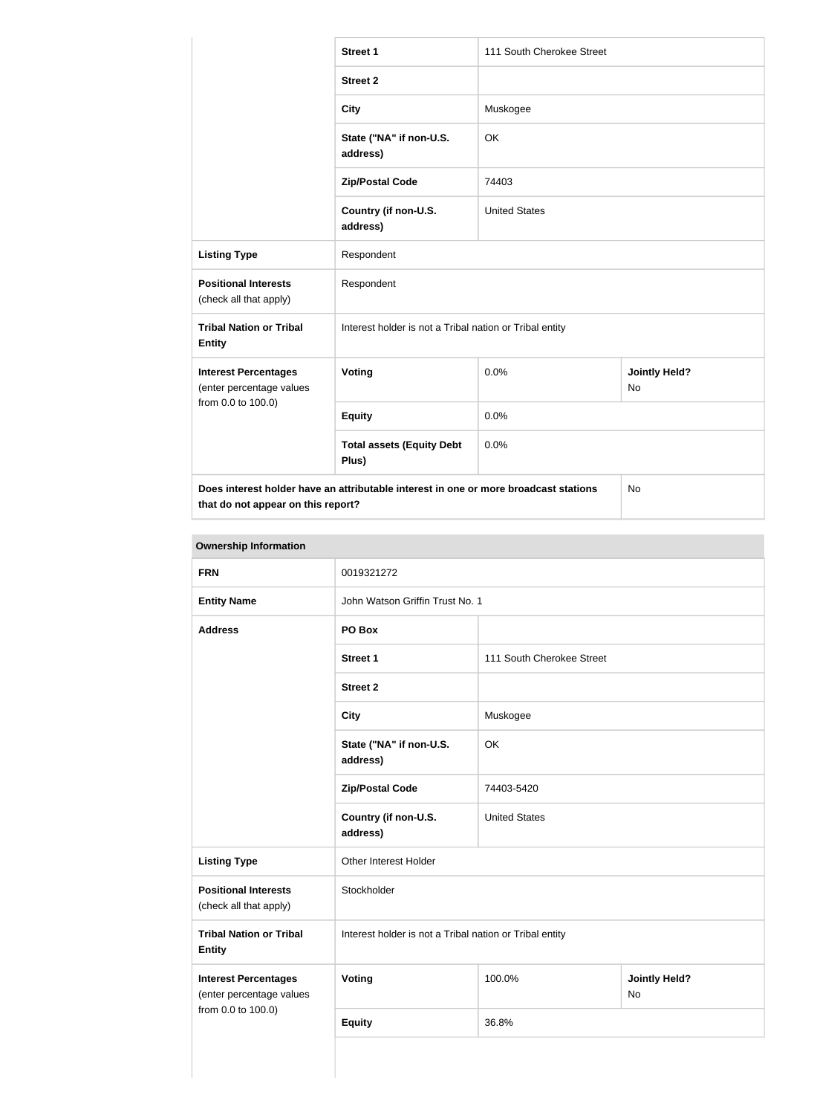|                                                                                                                            | <b>Street 1</b>                                         | 111 South Cherokee Street |                                   |  |  |
|----------------------------------------------------------------------------------------------------------------------------|---------------------------------------------------------|---------------------------|-----------------------------------|--|--|
|                                                                                                                            | <b>Street 2</b>                                         |                           |                                   |  |  |
|                                                                                                                            | <b>City</b>                                             | Muskogee                  |                                   |  |  |
|                                                                                                                            | State ("NA" if non-U.S.<br>address)                     | OK                        |                                   |  |  |
|                                                                                                                            | <b>Zip/Postal Code</b>                                  | 74403                     |                                   |  |  |
|                                                                                                                            | Country (if non-U.S.<br>address)                        | <b>United States</b>      |                                   |  |  |
| <b>Listing Type</b>                                                                                                        | Respondent                                              |                           |                                   |  |  |
| <b>Positional Interests</b><br>(check all that apply)                                                                      | Respondent                                              |                           |                                   |  |  |
| <b>Tribal Nation or Tribal</b><br><b>Entity</b>                                                                            | Interest holder is not a Tribal nation or Tribal entity |                           |                                   |  |  |
| <b>Interest Percentages</b><br>(enter percentage values                                                                    | Voting                                                  | 0.0%                      | <b>Jointly Held?</b><br><b>No</b> |  |  |
| from 0.0 to 100.0)                                                                                                         | <b>Equity</b>                                           | 0.0%                      |                                   |  |  |
|                                                                                                                            | <b>Total assets (Equity Debt</b><br>Plus)               | 0.0%                      |                                   |  |  |
| Does interest holder have an attributable interest in one or more broadcast stations<br>that do not appear on this report? |                                                         |                           | No                                |  |  |

### **Ownership Information**

| <u>,,,,,,,,,,,,,,,,,,,,,,,,,,,,</u>                     |                                                         |                           |                            |  |
|---------------------------------------------------------|---------------------------------------------------------|---------------------------|----------------------------|--|
| <b>FRN</b>                                              | 0019321272                                              |                           |                            |  |
| <b>Entity Name</b>                                      | John Watson Griffin Trust No. 1                         |                           |                            |  |
| <b>Address</b>                                          | PO Box                                                  |                           |                            |  |
|                                                         | <b>Street 1</b>                                         | 111 South Cherokee Street |                            |  |
|                                                         | <b>Street 2</b>                                         |                           |                            |  |
|                                                         | <b>City</b>                                             | Muskogee                  |                            |  |
|                                                         | State ("NA" if non-U.S.<br>address)                     | OK                        |                            |  |
|                                                         | <b>Zip/Postal Code</b>                                  | 74403-5420                |                            |  |
|                                                         | Country (if non-U.S.<br>address)                        | <b>United States</b>      |                            |  |
| <b>Listing Type</b>                                     | Other Interest Holder                                   |                           |                            |  |
| <b>Positional Interests</b><br>(check all that apply)   | Stockholder                                             |                           |                            |  |
| <b>Tribal Nation or Tribal</b><br><b>Entity</b>         | Interest holder is not a Tribal nation or Tribal entity |                           |                            |  |
| <b>Interest Percentages</b><br>(enter percentage values | Voting                                                  | 100.0%                    | <b>Jointly Held?</b><br>No |  |
| from 0.0 to 100.0)                                      | <b>Equity</b>                                           | 36.8%                     |                            |  |
|                                                         |                                                         |                           |                            |  |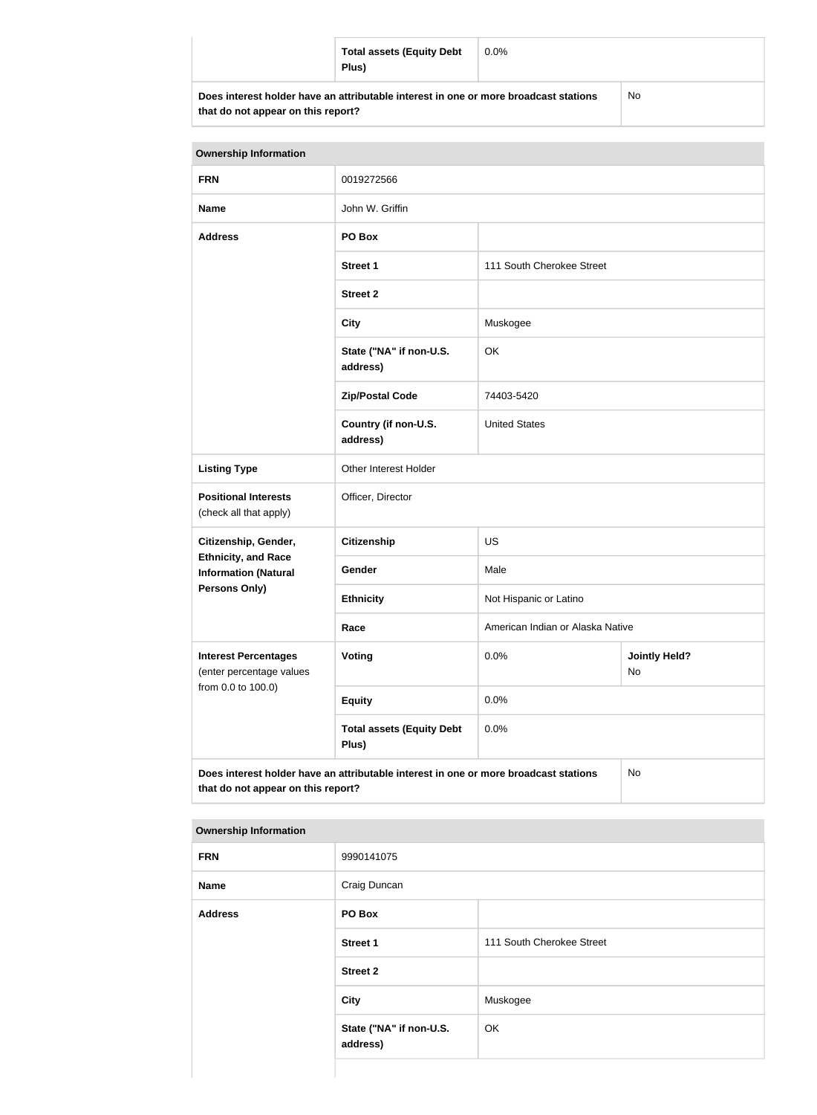| <b>Total assets (Equity Debt</b><br>Plus)                                            | $0.0\%$ |     |
|--------------------------------------------------------------------------------------|---------|-----|
| Does interest holder have an attributable interest in one or more broadcast stations |         | No. |

No

| <b>Ownership Information</b>                                                                                               |                                           |                                  |                            |  |
|----------------------------------------------------------------------------------------------------------------------------|-------------------------------------------|----------------------------------|----------------------------|--|
| <b>FRN</b>                                                                                                                 | 0019272566                                |                                  |                            |  |
| <b>Name</b>                                                                                                                | John W. Griffin                           |                                  |                            |  |
| <b>Address</b>                                                                                                             | PO Box                                    |                                  |                            |  |
|                                                                                                                            | <b>Street 1</b>                           | 111 South Cherokee Street        |                            |  |
|                                                                                                                            | <b>Street 2</b>                           |                                  |                            |  |
|                                                                                                                            | <b>City</b>                               | Muskogee                         |                            |  |
|                                                                                                                            | State ("NA" if non-U.S.<br>address)       | OK                               |                            |  |
|                                                                                                                            | <b>Zip/Postal Code</b>                    | 74403-5420                       |                            |  |
|                                                                                                                            | Country (if non-U.S.<br>address)          | <b>United States</b>             |                            |  |
| <b>Listing Type</b>                                                                                                        | Other Interest Holder                     |                                  |                            |  |
| <b>Positional Interests</b><br>(check all that apply)                                                                      | Officer, Director                         |                                  |                            |  |
| Citizenship, Gender,                                                                                                       | <b>Citizenship</b>                        | <b>US</b>                        |                            |  |
| <b>Ethnicity, and Race</b><br><b>Information (Natural</b>                                                                  | Gender                                    | Male                             |                            |  |
| <b>Persons Only)</b>                                                                                                       | <b>Ethnicity</b>                          | Not Hispanic or Latino           |                            |  |
|                                                                                                                            | Race                                      | American Indian or Alaska Native |                            |  |
| <b>Interest Percentages</b><br>(enter percentage values<br>from 0.0 to 100.0)                                              | Voting                                    | 0.0%                             | <b>Jointly Held?</b><br>No |  |
|                                                                                                                            | <b>Equity</b>                             | 0.0%                             |                            |  |
|                                                                                                                            | <b>Total assets (Equity Debt</b><br>Plus) | 0.0%                             |                            |  |
| Does interest holder have an attributable interest in one or more broadcast stations<br>that do not appear on this report? |                                           |                                  | <b>No</b>                  |  |

|  | <b>Ownership Information</b> |
|--|------------------------------|
|--|------------------------------|

| <b>FRN</b>     | 9990141075                          |                           |
|----------------|-------------------------------------|---------------------------|
| <b>Name</b>    | Craig Duncan                        |                           |
| <b>Address</b> | PO Box                              |                           |
|                | Street 1                            | 111 South Cherokee Street |
|                | <b>Street 2</b>                     |                           |
|                | City                                | Muskogee                  |
|                | State ("NA" if non-U.S.<br>address) | OK                        |
|                |                                     |                           |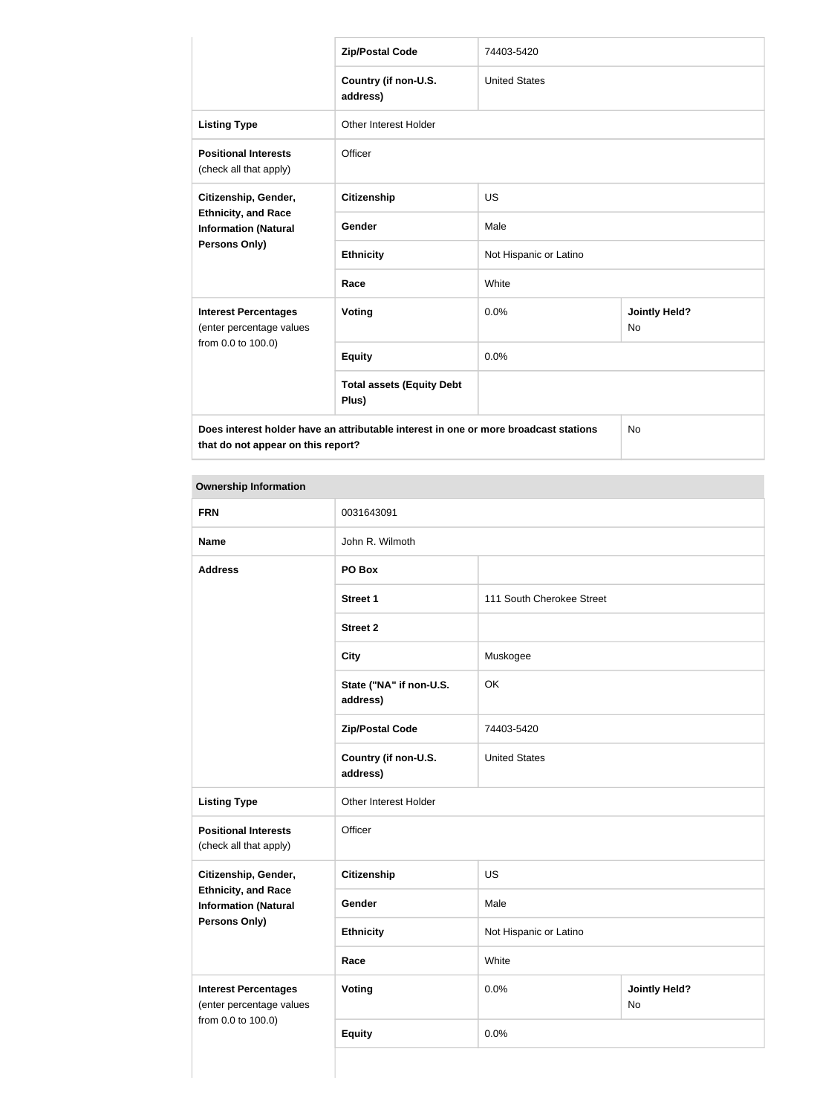|                                                                                                                            | <b>Zip/Postal Code</b>                    | 74403-5420             |                            |
|----------------------------------------------------------------------------------------------------------------------------|-------------------------------------------|------------------------|----------------------------|
|                                                                                                                            | Country (if non-U.S.<br>address)          | <b>United States</b>   |                            |
| <b>Listing Type</b>                                                                                                        | <b>Other Interest Holder</b>              |                        |                            |
| <b>Positional Interests</b><br>(check all that apply)                                                                      | Officer                                   |                        |                            |
| Citizenship, Gender,<br><b>Ethnicity, and Race</b><br><b>Information (Natural</b>                                          | <b>Citizenship</b>                        | <b>US</b>              |                            |
|                                                                                                                            | Gender                                    | Male                   |                            |
| Persons Only)                                                                                                              | <b>Ethnicity</b>                          | Not Hispanic or Latino |                            |
|                                                                                                                            | Race                                      | White                  |                            |
| <b>Interest Percentages</b><br>(enter percentage values<br>from 0.0 to 100.0)                                              | Voting                                    | 0.0%                   | <b>Jointly Held?</b><br>No |
|                                                                                                                            | <b>Equity</b>                             | 0.0%                   |                            |
|                                                                                                                            | <b>Total assets (Equity Debt</b><br>Plus) |                        |                            |
| Does interest holder have an attributable interest in one or more broadcast stations<br>that do not appear on this report? |                                           | <b>No</b>              |                            |

| <b>Ownership Information</b>                                                  |                                     |                           |                            |  |
|-------------------------------------------------------------------------------|-------------------------------------|---------------------------|----------------------------|--|
| <b>FRN</b>                                                                    | 0031643091                          |                           |                            |  |
| <b>Name</b>                                                                   | John R. Wilmoth                     |                           |                            |  |
| <b>Address</b>                                                                | PO Box                              |                           |                            |  |
|                                                                               | <b>Street 1</b>                     | 111 South Cherokee Street |                            |  |
|                                                                               | <b>Street 2</b>                     |                           |                            |  |
|                                                                               | <b>City</b>                         | Muskogee                  |                            |  |
|                                                                               | State ("NA" if non-U.S.<br>address) | OK                        |                            |  |
|                                                                               | <b>Zip/Postal Code</b>              | 74403-5420                |                            |  |
|                                                                               | Country (if non-U.S.<br>address)    | <b>United States</b>      |                            |  |
| <b>Listing Type</b>                                                           | Other Interest Holder               |                           |                            |  |
| <b>Positional Interests</b><br>(check all that apply)                         | Officer                             |                           |                            |  |
| Citizenship, Gender,                                                          | <b>Citizenship</b>                  | <b>US</b>                 |                            |  |
| <b>Ethnicity, and Race</b><br><b>Information (Natural</b>                     | Gender                              | Male                      |                            |  |
| <b>Persons Only)</b>                                                          | <b>Ethnicity</b>                    | Not Hispanic or Latino    |                            |  |
|                                                                               | Race                                | White                     |                            |  |
| <b>Interest Percentages</b><br>(enter percentage values<br>from 0.0 to 100.0) | <b>Voting</b>                       | 0.0%                      | <b>Jointly Held?</b><br>No |  |
|                                                                               | <b>Equity</b>                       | 0.0%                      |                            |  |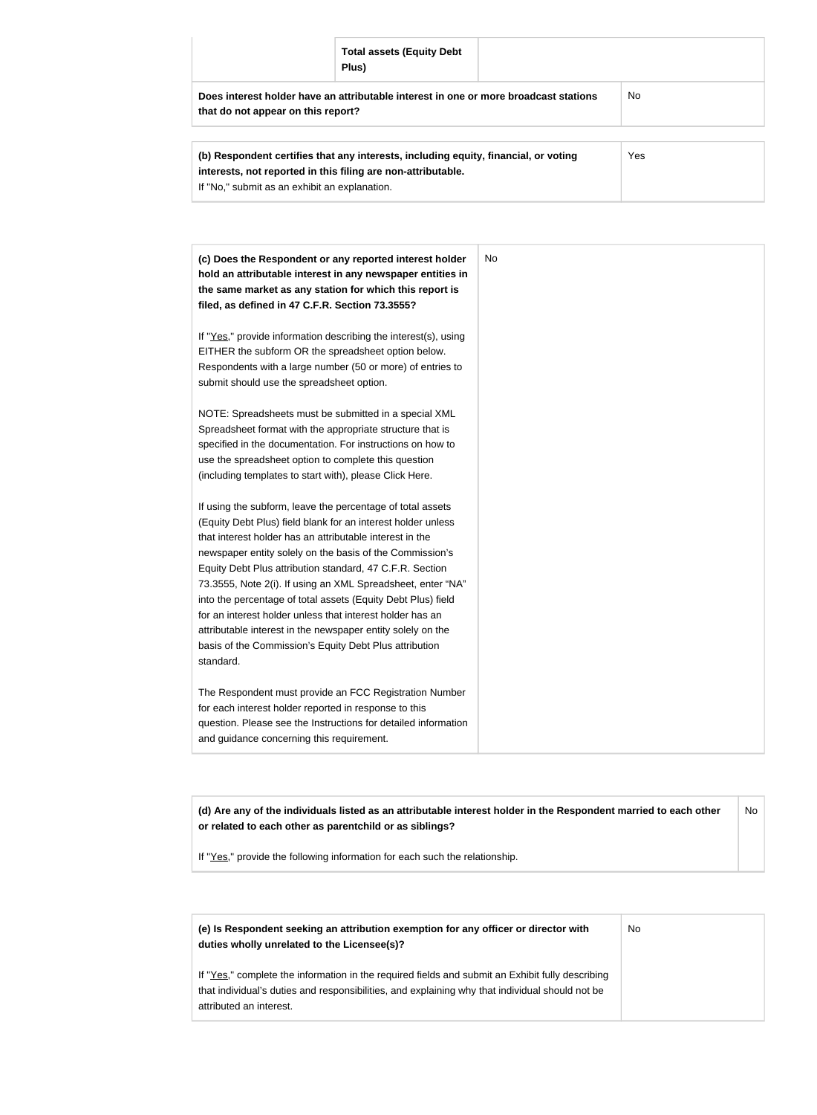|                                                                                                                            | <b>Total assets (Equity Debt</b><br>Plus) |           |  |  |
|----------------------------------------------------------------------------------------------------------------------------|-------------------------------------------|-----------|--|--|
| Does interest holder have an attributable interest in one or more broadcast stations<br>that do not appear on this report? |                                           | <b>No</b> |  |  |
| Yes<br>(b) Respondent certifies that any interests, including equity, financial, or voting                                 |                                           |           |  |  |

| (b) Respondent certifies that any interests, including equity, financial, or voting | Yes |
|-------------------------------------------------------------------------------------|-----|
| interests, not reported in this filing are non-attributable.                        |     |
| If "No," submit as an exhibit an explanation.                                       |     |
|                                                                                     |     |

| (c) Does the Respondent or any reported interest holder<br>hold an attributable interest in any newspaper entities in |
|-----------------------------------------------------------------------------------------------------------------------|
| the same market as any station for which this report is                                                               |
| filed, as defined in 47 C.F.R. Section 73.3555?                                                                       |
|                                                                                                                       |
| If "Yes," provide information describing the interest(s), using                                                       |
| EITHER the subform OR the spreadsheet option below.                                                                   |
| Respondents with a large number (50 or more) of entries to                                                            |
| submit should use the spreadsheet option.                                                                             |
|                                                                                                                       |
| NOTE: Spreadsheets must be submitted in a special XML                                                                 |
| Spreadsheet format with the appropriate structure that is                                                             |
| specified in the documentation. For instructions on how to                                                            |
| use the spreadsheet option to complete this question                                                                  |
| (including templates to start with), please Click Here.                                                               |
| If using the subform, leave the percentage of total assets                                                            |
| (Equity Debt Plus) field blank for an interest holder unless                                                          |
| that interest holder has an attributable interest in the                                                              |
| newspaper entity solely on the basis of the Commission's                                                              |
| Equity Debt Plus attribution standard, 47 C.F.R. Section                                                              |
| 73.3555, Note 2(i). If using an XML Spreadsheet, enter "NA"                                                           |
| into the percentage of total assets (Equity Debt Plus) field                                                          |
| for an interest holder unless that interest holder has an                                                             |
| attributable interest in the newspaper entity solely on the                                                           |
| basis of the Commission's Equity Debt Plus attribution                                                                |
| standard.                                                                                                             |
| The Respondent must provide an FCC Registration Number                                                                |
| for each interest holder reported in response to this                                                                 |
| question. Please see the Instructions for detailed information                                                        |
| and guidance concerning this requirement.                                                                             |

**(d) Are any of the individuals listed as an attributable interest holder in the Respondent married to each other or related to each other as parentchild or as siblings?** No

If "Yes," provide the following information for each such the relationship.

| (e) Is Respondent seeking an attribution exemption for any officer or director with<br>duties wholly unrelated to the Licensee(s)?                                                                                             | No |
|--------------------------------------------------------------------------------------------------------------------------------------------------------------------------------------------------------------------------------|----|
| If "Yes," complete the information in the required fields and submit an Exhibit fully describing<br>that individual's duties and responsibilities, and explaining why that individual should not be<br>attributed an interest. |    |